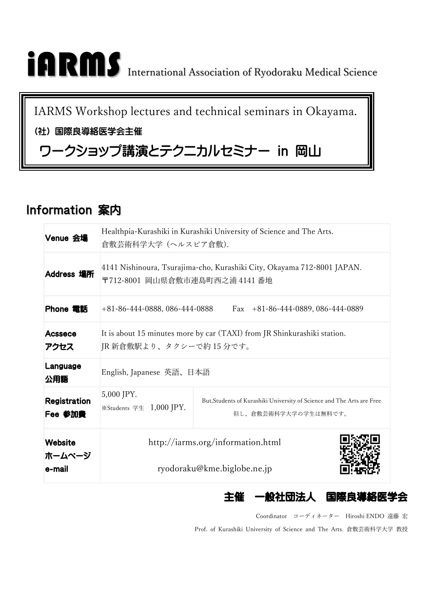# iARMS International Association of Ryodoraku Medical Science

IARMS Workshop lectures and technical seminars in Okayama.

#### (社) 国際良導絡医学会主催

## ワークショップ講演とテクニカルセミナー in 岡山

### Information 案内

| Venue 会場                           | Healthpia-Kurashiki in Kurashiki University of Science and The Arts.<br>倉敷芸術科学大学 (ヘルスピア倉敷).               |                                                                                                |  |  |  |
|------------------------------------|-----------------------------------------------------------------------------------------------------------|------------------------------------------------------------------------------------------------|--|--|--|
| Address 場所                         | 4141 Nishinoura, Tsurajima-cho, Kurashiki City, Okayama 712-8001 JAPAN.<br>〒712-8001 岡山県倉敷市連島町西之浦 4141 番地 |                                                                                                |  |  |  |
| Phone 電話                           | +81-86-444-0888, 086-444-0888<br>Fax $+81-86-444-0889$ , 086-444-0889                                     |                                                                                                |  |  |  |
| <b>Acssece</b><br>アクセス             | It is about 15 minutes more by car (TAXI) from JR Shinkurashiki station.<br>JR 新倉敷駅より、タクシーで約15分です。        |                                                                                                |  |  |  |
| Language<br>公用語                    | English, Japanese 英語、日本語                                                                                  |                                                                                                |  |  |  |
| <b>Registration</b><br>Fee 参加費     | 5,000 JPY.<br>※Students 学生 1,000 JPY.                                                                     | But, Students of Kurashiki University of Science and The Arts are Free<br>但し、倉敷芸術科学大学の学生は無料です。 |  |  |  |
| <b>Website</b><br>ホームページ<br>e-mail | http://iarms.org/information.html<br>ryodoraku@kme.biglobe.ne.jp                                          |                                                                                                |  |  |  |

主催

Coordinator コーディネーター Hiroshi ENDO 遠藤 宏

一般社団法人 国際良導絡医学会

Prof. of Kurashiki University of Science and The Arts. 倉敷芸術科学大学 教授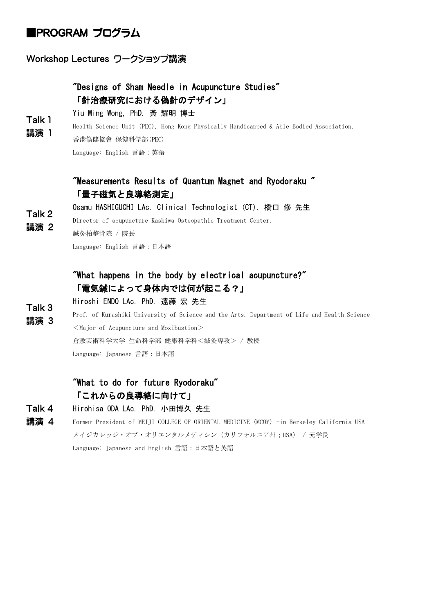#### ■PROGRAM プログラム

#### Workshop Lectures ワークショップ講演

#### "Designs of Sham Needle in Acupuncture Studies" 「針治療研究における偽針のデザイン」

Yiu Ming Wong, PhD. 黃 耀明 博士

Talk 1 講演 1 Health Science Unit (PEC), Hong Kong Physically Handicapped & Able Bodied Association.

香港傷健協會 保健科学部(PEC)

Language: English 言語:英語

#### "Measurements Results of Quantum Magnet and Ryodoraku " 「量子磁気と良導絡測定」

Talk 2 Osamu HASHIGUCHI LAc. Clinical Technologist (CT). 橋口 修 先生

Director of acupuncture Kashiwa Osteopathic Treatment Center.

講演 2 鍼灸柏整骨院 / 院長

Language: English 言語:日本語

#### "What happens in the body by electrical acupuncture?" 「電気鍼によって身体内では何が起こる?」

Talk 3 Hiroshi ENDO LAc. PhD. 遠藤 宏 先生

講演 3 Prof. of Kurashiki University of Science and the Arts. Department of Life and Health Science  $<$ Major of Acupuncture and Moxibustion $>$ 

倉敷芸術科学大学 生命科学部 健康科学科<鍼灸専攻> / 教授

Language: Japanese 言語:日本語

#### "What to do for future Ryodoraku" 「これからの良導絡に向けて」

- Talk 4 Hirohisa ODA LAc. PhD. 小田博久 先生
- 講演 4 Former President of MEIJI COLLEGE OF ORIENTAL MEDICINE (MCOM) -in Berkeley California USA メイジカレッジ・オブ・オリエンタルメディシン(カリフォルニア州;USA) / 元学長 Language: Japanese and English 言語:日本語と英語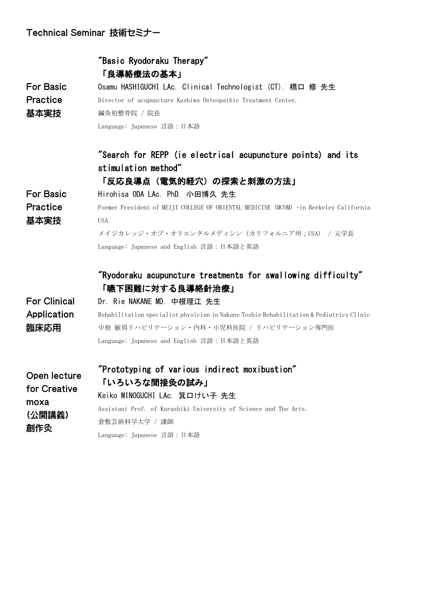#### Technical Seminar 技術セミナー

|                     | "Basic Ryodoraku Therapy"                                                               |  |  |  |  |  |
|---------------------|-----------------------------------------------------------------------------------------|--|--|--|--|--|
|                     | 「良導絡療法の基本」                                                                              |  |  |  |  |  |
| <b>For Basic</b>    | Osamu HASHIGUCHI LAc. Clinical Technologist (CT). 橋口 修 先生                               |  |  |  |  |  |
| <b>Practice</b>     | Director of acupuncture Kashiwa Osteopathic Treatment Center.                           |  |  |  |  |  |
| 基本実技                | 鍼灸柏整骨院 / 院長                                                                             |  |  |  |  |  |
|                     | Language: Japanese 言語:日本語                                                               |  |  |  |  |  |
|                     | "Search for REPP (ie electrical acupuncture points) and its                             |  |  |  |  |  |
|                     | stimulation method"                                                                     |  |  |  |  |  |
|                     | 「反応良導点(電気的経穴)の探索と刺激の方法」                                                                 |  |  |  |  |  |
| <b>For Basic</b>    | Hirohisa ODA LAc. PhD. 小田博久 先生                                                          |  |  |  |  |  |
| <b>Practice</b>     | Former President of MEIJI COLLEGE OF ORIENTAL MEDICINE (MCOM) -in Berkeley California   |  |  |  |  |  |
| 基本実技                | <b>USA</b>                                                                              |  |  |  |  |  |
|                     | メイジカレッジ・オブ・オリエンタルメディシン (カリフォルニア州; USA) / 元学長                                            |  |  |  |  |  |
|                     | Language: Japanese and English 言語:日本語と英語                                                |  |  |  |  |  |
|                     | $\mathrm{''}$ Ryodoraku acupuncture treatments for swallowing difficulty $\mathrm{''}$  |  |  |  |  |  |
|                     | 「嚥下困難に対する良導絡針治療」                                                                        |  |  |  |  |  |
| <b>For Clinical</b> | Dr. Rie NAKANE MD. 中根理江 先生                                                              |  |  |  |  |  |
| Application         | Rehabilitation specialist physician in Nakane Toshie Rehabilitation & Pediatrics Clinic |  |  |  |  |  |
| 臨床応用                | 中根 敏得リハビリテーション・内科・小児科医院 / リハビリテーション専門医                                                  |  |  |  |  |  |
|                     | Language: Japanese and English 言語:日本語と英語                                                |  |  |  |  |  |
| Open lecture        | "Prototyping of various indirect moxibustion"                                           |  |  |  |  |  |
| for Creative        | 「いろいろな間接灸の試み」                                                                           |  |  |  |  |  |
| moxa                | Keiko MINOGUCHI LAc. 箕口けい子 先生                                                           |  |  |  |  |  |
| (公開講義)              | Assistant Prof. of Kurashiki University of Science and The Arts.                        |  |  |  |  |  |
| 創作灸                 | 倉敷芸術科学大学 / 講師                                                                           |  |  |  |  |  |
|                     | Language: Japanese 言語:日本語                                                               |  |  |  |  |  |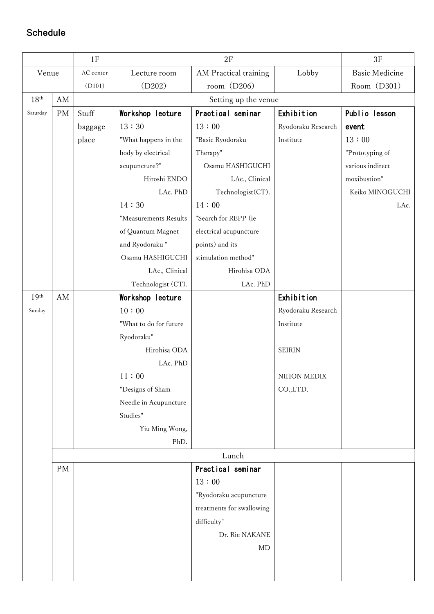#### Schedule

|                  |                        | 1F        | $2\mathrm{F}$          |                           | 3F                 |                       |  |  |
|------------------|------------------------|-----------|------------------------|---------------------------|--------------------|-----------------------|--|--|
| Venue            |                        | AC center | Lecture room           | AM Practical training     | Lobby              | <b>Basic Medicine</b> |  |  |
|                  |                        | (D101)    | (D202)                 | room $(D206)$             |                    | Room (D301)           |  |  |
| 18 <sup>th</sup> | $\mathbf{A}\mathbf{M}$ |           |                        |                           |                    |                       |  |  |
| Saturday         | PM                     | Stuff     | Workshop lecture       | Practical seminar         | Exhibition         | Public lesson         |  |  |
|                  |                        | baggage   | 13:30                  | 13:00                     | Ryodoraku Research | event                 |  |  |
|                  |                        | place     | "What happens in the   | "Basic Ryodoraku          | Institute          | 13:00                 |  |  |
|                  |                        |           | body by electrical     | Therapy"                  |                    | "Prototyping of       |  |  |
|                  |                        |           | acupuncture?"          | Osamu HASHIGUCHI          |                    | various indirect      |  |  |
|                  |                        |           | Hiroshi ENDO           | LAc., Clinical            |                    | moxibustion"          |  |  |
|                  |                        |           | LAc. PhD               | Technologist(CT).         |                    | Keiko MINOGUCHI       |  |  |
|                  |                        |           | 14:30                  | 14:00                     |                    | LAc.                  |  |  |
|                  |                        |           | "Measurements Results  | "Search for REPP (ie      |                    |                       |  |  |
|                  |                        |           | of Quantum Magnet      | electrical acupuncture    |                    |                       |  |  |
|                  |                        |           | and Ryodoraku"         | points) and its           |                    |                       |  |  |
|                  |                        |           | Osamu HASHIGUCHI       | stimulation method"       |                    |                       |  |  |
|                  |                        |           | LAc., Clinical         | Hirohisa ODA              |                    |                       |  |  |
|                  |                        |           | Technologist (CT).     | LAc. PhD                  |                    |                       |  |  |
| 19 <sup>th</sup> | AM                     |           | Workshop lecture       |                           | Exhibition         |                       |  |  |
| Sunday           |                        |           | 10:00                  |                           | Ryodoraku Research |                       |  |  |
|                  |                        |           | "What to do for future |                           | Institute          |                       |  |  |
|                  |                        |           | Ryodoraku"             |                           |                    |                       |  |  |
|                  |                        |           | Hirohisa ODA           |                           | <b>SEIRIN</b>      |                       |  |  |
|                  |                        |           | LAc. PhD               |                           |                    |                       |  |  |
|                  |                        |           | 11:00                  |                           | NIHON MEDIX        |                       |  |  |
|                  |                        |           | "Designs of Sham       |                           | CO.,LTD.           |                       |  |  |
|                  |                        |           | Needle in Acupuncture  |                           |                    |                       |  |  |
|                  |                        |           | Studies"               |                           |                    |                       |  |  |
|                  |                        |           | Yiu Ming Wong,         |                           |                    |                       |  |  |
|                  |                        |           | PhD.                   |                           |                    |                       |  |  |
|                  |                        | Lunch     |                        |                           |                    |                       |  |  |
|                  | <b>PM</b>              |           |                        | Practical seminar         |                    |                       |  |  |
|                  |                        |           |                        | 13:00                     |                    |                       |  |  |
|                  |                        |           |                        | "Ryodoraku acupuncture    |                    |                       |  |  |
|                  |                        |           |                        | treatments for swallowing |                    |                       |  |  |
|                  |                        |           |                        | difficulty"               |                    |                       |  |  |
|                  |                        |           |                        | Dr. Rie NAKANE            |                    |                       |  |  |
|                  |                        |           |                        | MD                        |                    |                       |  |  |
|                  |                        |           |                        |                           |                    |                       |  |  |
|                  |                        |           |                        |                           |                    |                       |  |  |